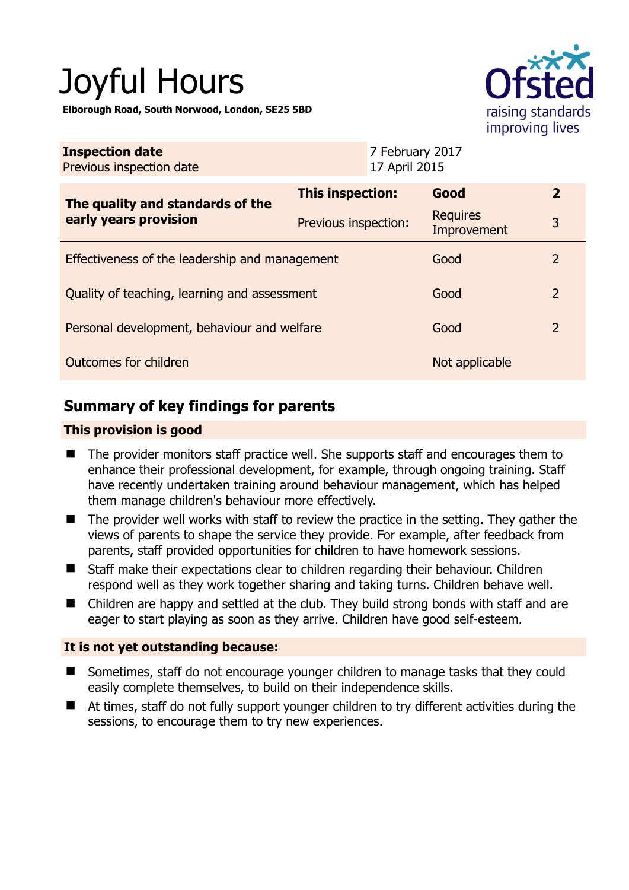# Joyful Hours

**Elborough Road, South Norwood, London, SE25 5BD** 



| <b>Inspection date</b><br>Previous inspection date        | 7 February 2017<br>17 April 2015 |                                |                |
|-----------------------------------------------------------|----------------------------------|--------------------------------|----------------|
| The quality and standards of the<br>early years provision | This inspection:                 | Good                           | $\overline{2}$ |
|                                                           | Previous inspection:             | <b>Requires</b><br>Improvement | 3              |
| Effectiveness of the leadership and management            |                                  | Good                           | $\overline{2}$ |
| Quality of teaching, learning and assessment              | Good                             | $\overline{2}$                 |                |
| Personal development, behaviour and welfare               | Good                             | $\overline{2}$                 |                |
| Outcomes for children                                     | Not applicable                   |                                |                |

## **Summary of key findings for parents**

#### **This provision is good**

- The provider monitors staff practice well. She supports staff and encourages them to enhance their professional development, for example, through ongoing training. Staff have recently undertaken training around behaviour management, which has helped them manage children's behaviour more effectively.
- The provider well works with staff to review the practice in the setting. They gather the views of parents to shape the service they provide. For example, after feedback from parents, staff provided opportunities for children to have homework sessions.
- Staff make their expectations clear to children regarding their behaviour. Children respond well as they work together sharing and taking turns. Children behave well.
- Children are happy and settled at the club. They build strong bonds with staff and are eager to start playing as soon as they arrive. Children have good self-esteem.

#### **It is not yet outstanding because:**

- Sometimes, staff do not encourage younger children to manage tasks that they could easily complete themselves, to build on their independence skills.
- At times, staff do not fully support younger children to try different activities during the sessions, to encourage them to try new experiences.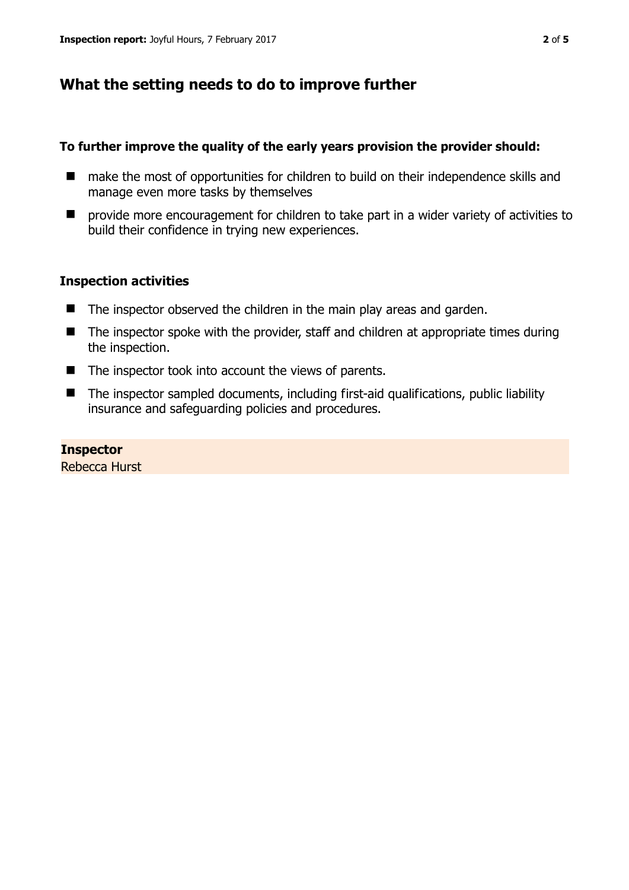## **What the setting needs to do to improve further**

#### **To further improve the quality of the early years provision the provider should:**

- make the most of opportunities for children to build on their independence skills and manage even more tasks by themselves
- **P** provide more encouragement for children to take part in a wider variety of activities to build their confidence in trying new experiences.

#### **Inspection activities**

- The inspector observed the children in the main play areas and garden.
- $\blacksquare$  The inspector spoke with the provider, staff and children at appropriate times during the inspection.
- $\blacksquare$  The inspector took into account the views of parents.
- The inspector sampled documents, including first-aid qualifications, public liability insurance and safeguarding policies and procedures.

#### **Inspector**

Rebecca Hurst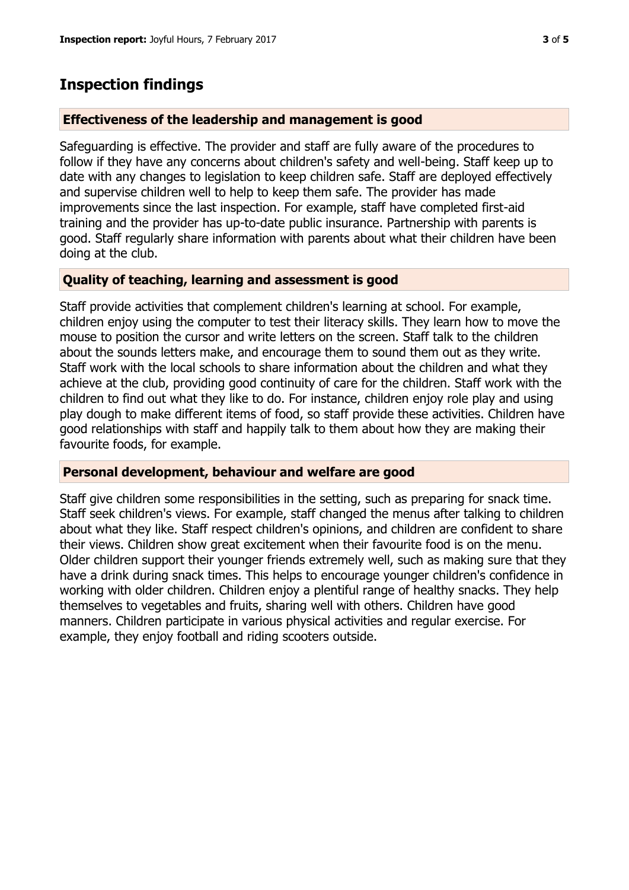#### **Effectiveness of the leadership and management is good**

Safeguarding is effective. The provider and staff are fully aware of the procedures to follow if they have any concerns about children's safety and well-being. Staff keep up to date with any changes to legislation to keep children safe. Staff are deployed effectively and supervise children well to help to keep them safe. The provider has made improvements since the last inspection. For example, staff have completed first-aid training and the provider has up-to-date public insurance. Partnership with parents is good. Staff regularly share information with parents about what their children have been doing at the club.

#### **Quality of teaching, learning and assessment is good**

Staff provide activities that complement children's learning at school. For example, children enjoy using the computer to test their literacy skills. They learn how to move the mouse to position the cursor and write letters on the screen. Staff talk to the children about the sounds letters make, and encourage them to sound them out as they write. Staff work with the local schools to share information about the children and what they achieve at the club, providing good continuity of care for the children. Staff work with the children to find out what they like to do. For instance, children enjoy role play and using play dough to make different items of food, so staff provide these activities. Children have good relationships with staff and happily talk to them about how they are making their favourite foods, for example.

#### **Personal development, behaviour and welfare are good**

Staff give children some responsibilities in the setting, such as preparing for snack time. Staff seek children's views. For example, staff changed the menus after talking to children about what they like. Staff respect children's opinions, and children are confident to share their views. Children show great excitement when their favourite food is on the menu. Older children support their younger friends extremely well, such as making sure that they have a drink during snack times. This helps to encourage younger children's confidence in working with older children. Children enjoy a plentiful range of healthy snacks. They help themselves to vegetables and fruits, sharing well with others. Children have good manners. Children participate in various physical activities and regular exercise. For example, they enjoy football and riding scooters outside.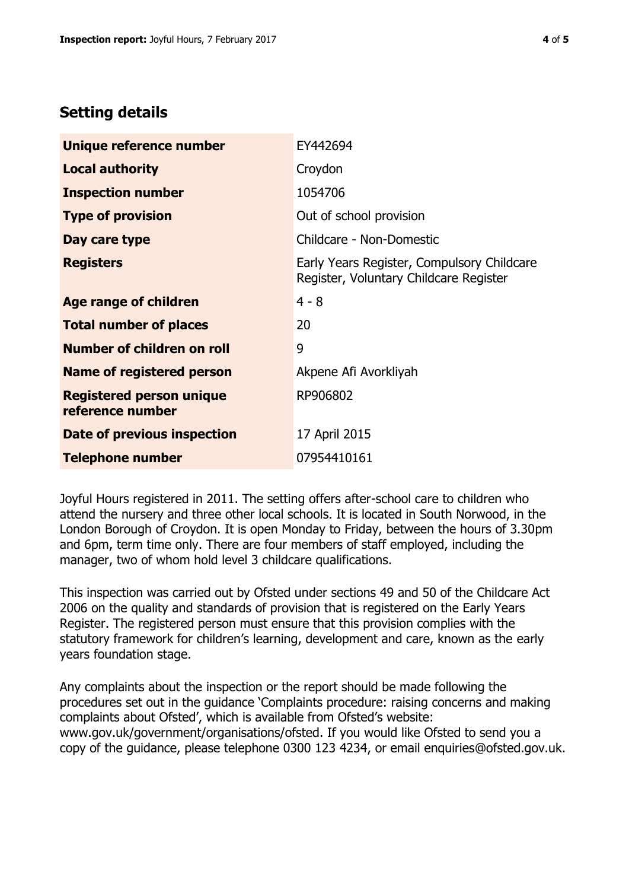### **Setting details**

| Unique reference number                             | EY442694                                                                             |  |
|-----------------------------------------------------|--------------------------------------------------------------------------------------|--|
| <b>Local authority</b>                              | Croydon                                                                              |  |
| <b>Inspection number</b>                            | 1054706                                                                              |  |
| <b>Type of provision</b>                            | Out of school provision                                                              |  |
| Day care type                                       | Childcare - Non-Domestic                                                             |  |
| <b>Registers</b>                                    | Early Years Register, Compulsory Childcare<br>Register, Voluntary Childcare Register |  |
| Age range of children                               | $4 - 8$                                                                              |  |
| <b>Total number of places</b>                       | 20                                                                                   |  |
| Number of children on roll                          | 9                                                                                    |  |
| Name of registered person                           | Akpene Afi Avorkliyah                                                                |  |
| <b>Registered person unique</b><br>reference number | RP906802                                                                             |  |
| Date of previous inspection                         | 17 April 2015                                                                        |  |
| <b>Telephone number</b>                             | 07954410161                                                                          |  |

Joyful Hours registered in 2011. The setting offers after-school care to children who attend the nursery and three other local schools. It is located in South Norwood, in the London Borough of Croydon. It is open Monday to Friday, between the hours of 3.30pm and 6pm, term time only. There are four members of staff employed, including the manager, two of whom hold level 3 childcare qualifications.

This inspection was carried out by Ofsted under sections 49 and 50 of the Childcare Act 2006 on the quality and standards of provision that is registered on the Early Years Register. The registered person must ensure that this provision complies with the statutory framework for children's learning, development and care, known as the early years foundation stage.

Any complaints about the inspection or the report should be made following the procedures set out in the guidance 'Complaints procedure: raising concerns and making complaints about Ofsted', which is available from Ofsted's website: www.gov.uk/government/organisations/ofsted. If you would like Ofsted to send you a copy of the guidance, please telephone 0300 123 4234, or email enquiries@ofsted.gov.uk.